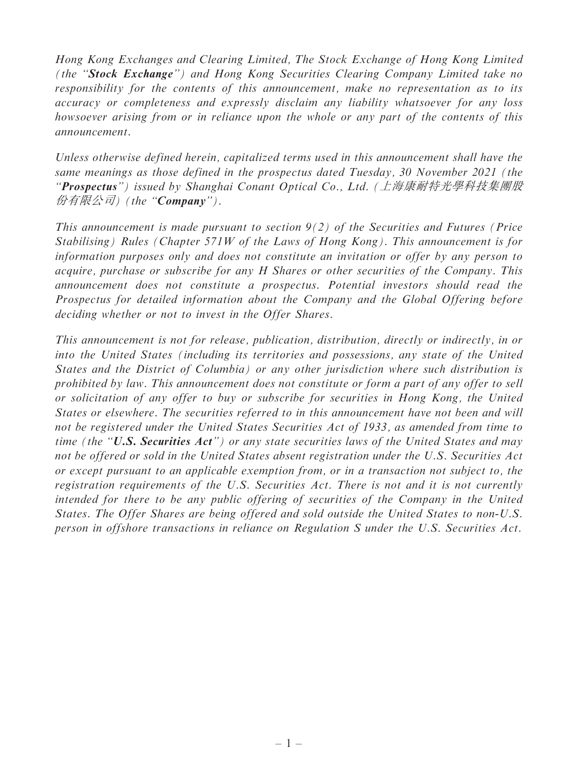Hong Kong Exchanges and Clearing Limited, The Stock Exchange of Hong Kong Limited (the ''Stock Exchange'') and Hong Kong Securities Clearing Company Limited take no responsibility for the contents of this announcement, make no representation as to its accuracy or completeness and expressly disclaim any liability whatsoever for any loss howsoever arising from or in reliance upon the whole or any part of the contents of this announcement.

Unless otherwise defined herein, capitalized terms used in this announcement shall have the same meanings as those defined in the prospectus dated Tuesday, 30 November 2021 (the ''Prospectus'') issued by Shanghai Conant Optical Co., Ltd. (上海康耐特光學科技集團<sup>股</sup> 份有限公司) (the "**Company**").

This announcement is made pursuant to section  $9(2)$  of the Securities and Futures (Price Stabilising) Rules (Chapter 571W of the Laws of Hong Kong). This announcement is for information purposes only and does not constitute an invitation or offer by any person to acquire, purchase or subscribe for any H Shares or other securities of the Company. This announcement does not constitute a prospectus. Potential investors should read the Prospectus for detailed information about the Company and the Global Offering before deciding whether or not to invest in the Offer Shares.

This announcement is not for release, publication, distribution, directly or indirectly, in or into the United States (including its territories and possessions, any state of the United States and the District of Columbia) or any other jurisdiction where such distribution is prohibited by law. This announcement does not constitute or form a part of any offer to sell or solicitation of any offer to buy or subscribe for securities in Hong Kong, the United States or elsewhere. The securities referred to in this announcement have not been and will not be registered under the United States Securities Act of 1933, as amended from time to time (the " $U.S.$  Securities  $Act"$ ) or any state securities laws of the United States and may not be offered or sold in the United States absent registration under the U.S. Securities Act or except pursuant to an applicable exemption from, or in a transaction not subject to, the registration requirements of the U.S. Securities Act. There is not and it is not currently intended for there to be any public offering of securities of the Company in the United States. The Offer Shares are being offered and sold outside the United States to non-U.S. person in offshore transactions in reliance on Regulation S under the U.S. Securities Act.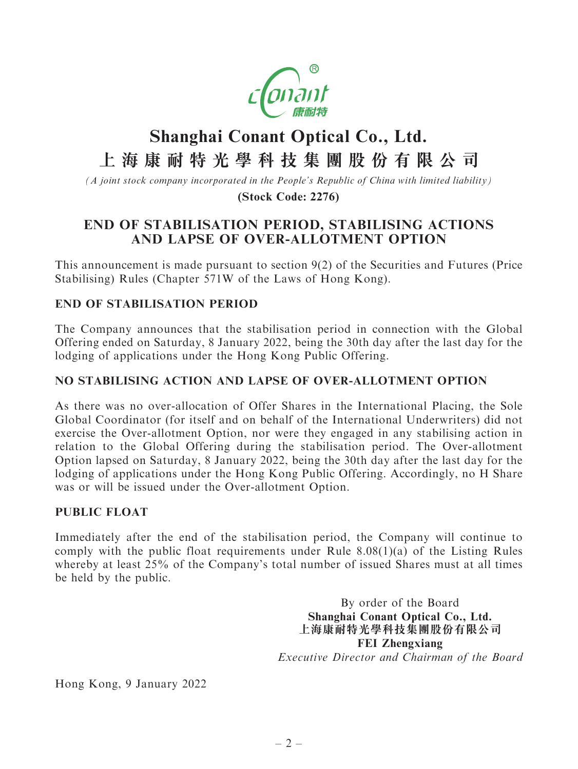

# **Shanghai Conant Optical Co., Ltd. 上海康耐特光學科技集團股份有限公司**

*(A joint stock company incorporated in the People's Republic of China with limited liability)*

**(Stock Code: 2276)**

## END OF STABILISATION PERIOD, STABILISING ACTIONS AND LAPSE OF OVER-ALLOTMENT OPTION

This announcement is made pursuant to section 9(2) of the Securities and Futures (Price Stabilising) Rules (Chapter 571W of the Laws of Hong Kong).

### END OF STABILISATION PERIOD

The Company announces that the stabilisation period in connection with the Global Offering ended on Saturday, 8 January 2022, being the 30th day after the last day for the lodging of applications under the Hong Kong Public Offering.

#### NO STABILISING ACTION AND LAPSE OF OVER-ALLOTMENT OPTION

As there was no over-allocation of Offer Shares in the International Placing, the Sole Global Coordinator (for itself and on behalf of the International Underwriters) did not exercise the Over-allotment Option, nor were they engaged in any stabilising action in relation to the Global Offering during the stabilisation period. The Over-allotment Option lapsed on Saturday, 8 January 2022, being the 30th day after the last day for the lodging of applications under the Hong Kong Public Offering. Accordingly, no H Share was or will be issued under the Over-allotment Option.

#### PUBLIC FLOAT

Immediately after the end of the stabilisation period, the Company will continue to comply with the public float requirements under Rule 8.08(1)(a) of the Listing Rules whereby at least 25% of the Company's total number of issued Shares must at all times be held by the public.

> By order of the Board Shanghai Conant Optical Co., Ltd. 上海康耐特光學科技集團股份有限公司 FEI Zhengxiang Executive Director and Chairman of the Board

Hong Kong, 9 January 2022